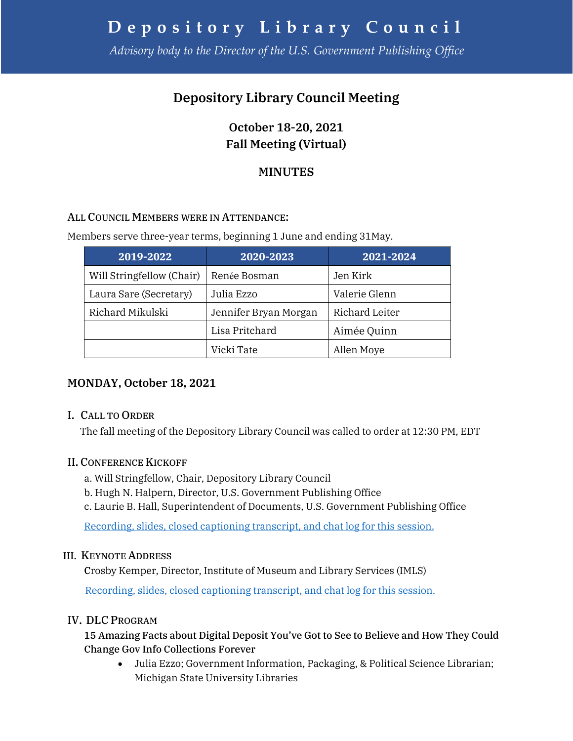# **Depository Library Council**

*Advisory body to the Director of the U.S. Government Publishing Office*

## **Depository Library Council Meeting**

**October 18-20, 2021 Fall Meeting (Virtual)** 

## **MINUTES**

#### ALL COUNCIL MEMBERS WERE IN ATTENDANCE:

Members serve three-year terms, beginning 1 June and ending 31May.

| 2019-2022                 | 2020-2023             | 2021-2024      |
|---------------------------|-----------------------|----------------|
| Will Stringfellow (Chair) | Renée Bosman          | Jen Kirk       |
| Laura Sare (Secretary)    | Julia Ezzo            | Valerie Glenn  |
| Richard Mikulski          | Jennifer Bryan Morgan | Richard Leiter |
|                           | Lisa Pritchard        | Aimée Quinn    |
|                           | Vicki Tate            | Allen Moye     |

## **MONDAY, October 18, 2021**

#### I. CALL TO ORDER

The fall meeting of the Depository Library Council was called to order at 12:30 PM, EDT

#### II. CONFERENCE KICKOFF

- a. Will Stringfellow, Chair, Depository Library Council
- b. Hugh N. Halpern, Director, U.S. Government Publishing Office
- c. Laurie B. Hall, Superintendent of Documents, U.S. Government Publishing Office

[Recording, slides, closed captioning transcript, and chat log for this session.](https://www.fdlp.gov/training/2021-fdl-conference-kickoff)

#### III. KEYNOTE ADDRESS

Crosby Kemper, Director, Institute of Museum and Library Services (IMLS)

[Recording, slides, closed captioning transcript, and chat log for this session.](https://www.fdlp.gov/training/2021-fdl-conference-keynote-address)

#### IV. DLC PROGRAM

#### 15 Amazing Facts about Digital Deposit You've Got to See to Believe and How They Could Change Gov Info Collections Forever

• Julia Ezzo; Government Information, Packaging, & Political Science Librarian; Michigan State University Libraries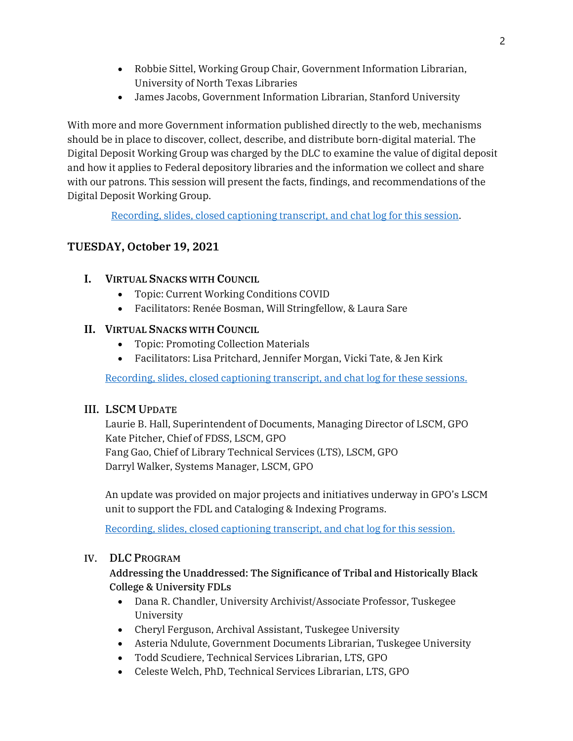- Robbie Sittel, Working Group Chair, Government Information Librarian, University of North Texas Libraries
- James Jacobs, Government Information Librarian, Stanford University

With more and more Government information published directly to the web, mechanisms should be in place to discover, collect, describe, and distribute born-digital material. The Digital Deposit Working Group was charged by the DLC to examine the value of digital deposit and how it applies to Federal depository libraries and the information we collect and share with our patrons. This session will present the facts, findings, and recommendations of the Digital Deposit Working Group.

[Recording, slides, closed captioning transcript, and chat log for this session.](https://www.fdlp.gov/training/2021-fdl-conference-15-amazing-facts-about-digital-deposit-youve-got-see-believe-and-how)

### **TUESDAY, October 19, 2021**

#### **I. VIRTUAL SNACKS WITH COUNCIL**

- Topic: Current Working Conditions COVID
- Facilitators: Renée Bosman, Will Stringfellow, & Laura Sare

#### **II. VIRTUAL SNACKS WITH COUNCIL**

- Topic: Promoting Collection Materials
- Facilitators: Lisa Pritchard, Jennifer Morgan, Vicki Tate, & Jen Kirk

[Recording, slides, closed captioning transcript, and chat log for these sessions.](https://www.fdlp.gov/training/2021-fdl-conference-snacks-council)

#### III. LSCM UPDATE

Laurie B. Hall, Superintendent of Documents, Managing Director of LSCM, GPO Kate Pitcher, Chief of FDSS, LSCM, GPO Fang Gao, Chief of Library Technical Services (LTS), LSCM, GPO Darryl Walker, Systems Manager, LSCM, GPO

An update was provided on major projects and initiatives underway in GPO's LSCM unit to support the FDL and Cataloging & Indexing Programs.

[Recording, slides, closed captioning transcript, and chat log for this session.](https://www.fdlp.gov/training/2021-fdl-conference-lscm-update)

#### IV. DLC PROGRAM

Addressing the Unaddressed: The Significance of Tribal and Historically Black College & University FDLs

- Dana R. Chandler, University Archivist/Associate Professor, Tuskegee University
- Cheryl Ferguson, Archival Assistant, Tuskegee University
- Asteria Ndulute, Government Documents Librarian, Tuskegee University
- Todd Scudiere, Technical Services Librarian, LTS, GPO
- Celeste Welch, PhD, Technical Services Librarian, LTS, GPO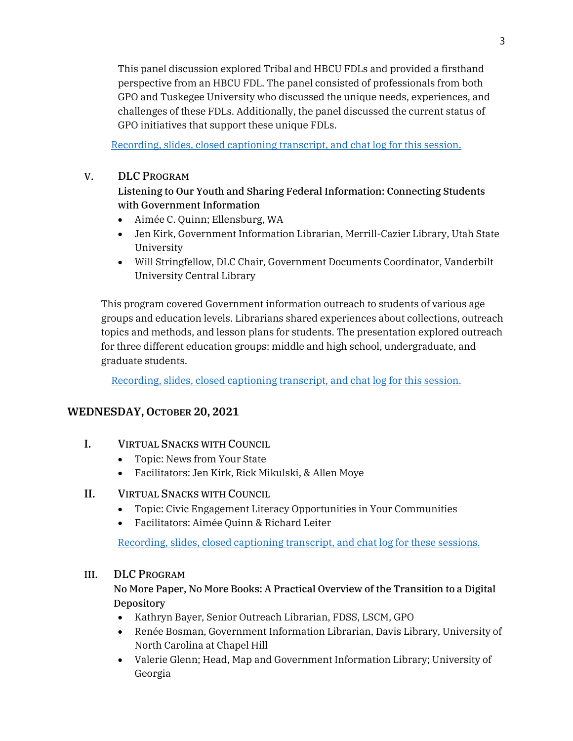This panel discussion explored Tribal and HBCU FDLs and provided a firsthand perspective from an HBCU FDL. The panel consisted of professionals from both GPO and Tuskegee University who discussed the unique needs, experiences, and challenges of these FDLs. Additionally, the panel discussed the current status of GPO initiatives that support these unique FDLs.

[Recording, slides, closed captioning transcript, and chat log for this](https://www.fdlp.gov/training/2021-fdl-conference-addressing-unaddressed-significance-tribal-and-historically-black) session.

#### V. DLC PROGRAM

#### Listening to Our Youth and Sharing Federal Information: Connecting Students with Government Information

- Aimée C. Quinn; Ellensburg, WA
- Jen Kirk, Government Information Librarian, Merrill-Cazier Library, Utah State University
- Will Stringfellow, DLC Chair, Government Documents Coordinator, Vanderbilt University Central Library

This program covered Government information outreach to students of various age groups and education levels. Librarians shared experiences about collections, outreach topics and methods, and lesson plans for students. The presentation explored outreach for three different education groups: middle and high school, undergraduate, and graduate students.

[Recording, slides, closed captioning transcript, and chat log for this session.](https://www.fdlp.gov/training/2021-fdl-conference-listening-our-youth-and-sharing-federal-information-connecting)

## **WEDNESDAY, OCTOBER 20, 2021**

- I. VIRTUAL SNACKS WITH COUNCIL
	- Topic: News from Your State
	- Facilitators: Jen Kirk, Rick Mikulski, & Allen Moye

#### II. VIRTUAL SNACKS WITH COUNCIL

- Topic: Civic Engagement Literacy Opportunities in Your Communities
- Facilitators: Aimée Quinn & Richard Leiter

[Recording, slides, closed captioning transcript, and chat log for these sessions.](https://www.fdlp.gov/training/2021-fdl-conference-snacks-council)

#### III. DLC PROGRAM

#### No More Paper, No More Books: A Practical Overview of the Transition to a Digital Depository

- Kathryn Bayer, Senior Outreach Librarian, FDSS, LSCM, GPO
- Renée Bosman, Government Information Librarian, Davis Library, University of North Carolina at Chapel Hill
- Valerie Glenn; Head, Map and Government Information Library; University of Georgia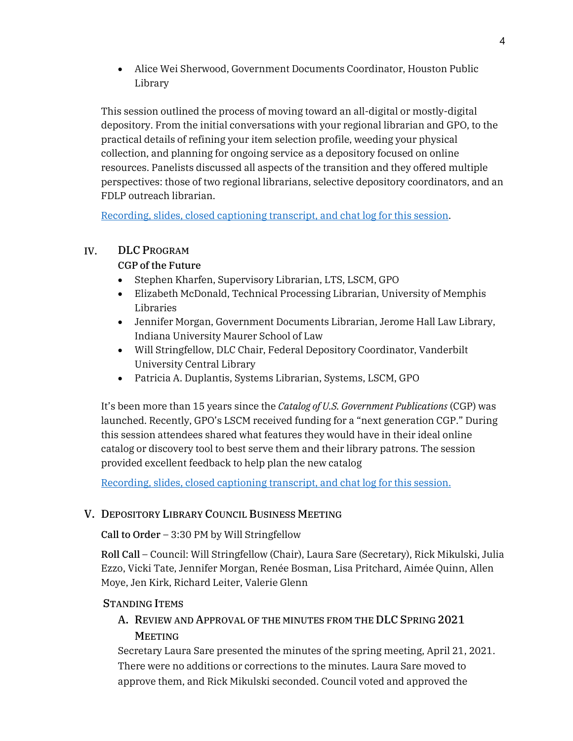• Alice Wei Sherwood, Government Documents Coordinator, Houston Public Library

This session outlined the process of moving toward an all-digital or mostly-digital depository. From the initial conversations with your regional librarian and GPO, to the practical details of refining your item selection profile, weeding your physical collection, and planning for ongoing service as a depository focused on online resources. Panelists discussed all aspects of the transition and they offered multiple perspectives: those of two regional librarians, selective depository coordinators, and an FDLP outreach librarian.

[Recording, slides, closed captioning transcript, and chat log for this session.](https://www.fdlp.gov/training/2021-fdl-conference-no-more-paper-no-more-books-practical-overview-transition-digital)

#### IV. DLC PROGRAM

### CGP of the Future

- Stephen Kharfen, Supervisory Librarian, LTS, LSCM, GPO
- Elizabeth McDonald, Technical Processing Librarian, University of Memphis Libraries
- Jennifer Morgan, Government Documents Librarian, Jerome Hall Law Library, Indiana University Maurer School of Law
- Will Stringfellow, DLC Chair, Federal Depository Coordinator, Vanderbilt University Central Library
- Patricia A. Duplantis, Systems Librarian, Systems, LSCM, GPO

It's been more than 15 years since the *Catalog of U.S. Government Publications* (CGP) was launched. Recently, GPO's LSCM received funding for a "next generation CGP." During this session attendees shared what features they would have in their ideal online catalog or discovery tool to best serve them and their library patrons. The session provided excellent feedback to help plan the new catalog

[Recording, slides, closed captioning transcript, and chat log for this session.](https://www.fdlp.gov/training/2021-fdl-conference-cgp-future)

## V. DEPOSITORY LIBRARY COUNCIL BUSINESS MEETING

Call to Order – 3:30 PM by Will Stringfellow

Roll Call – Council: Will Stringfellow (Chair), Laura Sare (Secretary), Rick Mikulski, Julia Ezzo, Vicki Tate, Jennifer Morgan, Renée Bosman, Lisa Pritchard, Aimée Quinn, Allen Moye, Jen Kirk, Richard Leiter, Valerie Glenn

#### STANDING ITEMS

## A. REVIEW AND APPROVAL OF THE MINUTES FROM THE DLC SPRING 2021 **MEETING**

Secretary Laura Sare presented the minutes of the spring meeting, April 21, 2021. There were no additions or corrections to the minutes. Laura Sare moved to approve them, and Rick Mikulski seconded. Council voted and approved the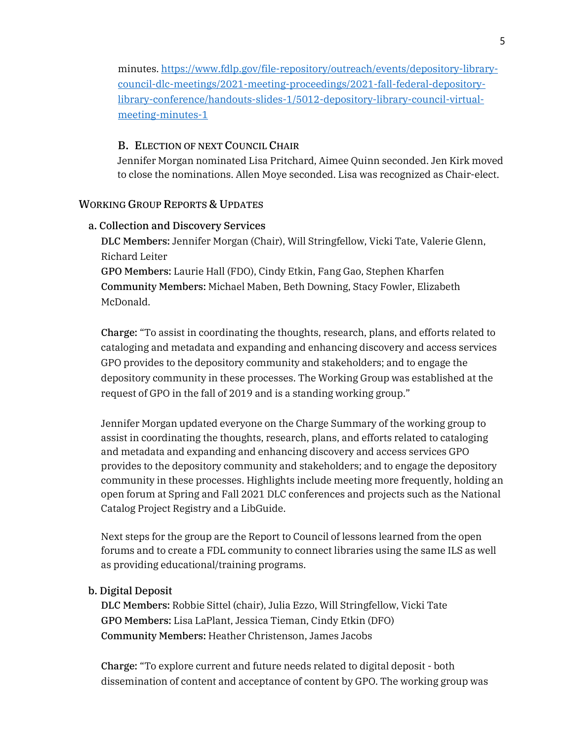minutes. [https://www.fdlp.gov/file-repository/outreach/events/depository-library](https://www.fdlp.gov/file-repository/outreach/events/depository-library-council-dlc-meetings/2021-meeting-proceedings/2021-fall-federal-depository-library-conference/handouts-slides-1/5012-depository-library-council-virtual-meeting-minutes-1)[council-dlc-meetings/2021-meeting-proceedings/2021-fall-federal-depository](https://www.fdlp.gov/file-repository/outreach/events/depository-library-council-dlc-meetings/2021-meeting-proceedings/2021-fall-federal-depository-library-conference/handouts-slides-1/5012-depository-library-council-virtual-meeting-minutes-1)[library-conference/handouts-slides-1/5012-depository-library-council-virtual](https://www.fdlp.gov/file-repository/outreach/events/depository-library-council-dlc-meetings/2021-meeting-proceedings/2021-fall-federal-depository-library-conference/handouts-slides-1/5012-depository-library-council-virtual-meeting-minutes-1)[meeting-minutes-1](https://www.fdlp.gov/file-repository/outreach/events/depository-library-council-dlc-meetings/2021-meeting-proceedings/2021-fall-federal-depository-library-conference/handouts-slides-1/5012-depository-library-council-virtual-meeting-minutes-1) 

#### B. ELECTION OF NEXT COUNCIL CHAIR

Jennifer Morgan nominated Lisa Pritchard, Aimee Quinn seconded. Jen Kirk moved to close the nominations. Allen Moye seconded. Lisa was recognized as Chair-elect.

#### WORKING GROUP REPORTS & UPDATES

#### a. Collection and Discovery Services

DLC Members: Jennifer Morgan (Chair), Will Stringfellow, Vicki Tate, Valerie Glenn, Richard Leiter

GPO Members: Laurie Hall (FDO), Cindy Etkin, Fang Gao, Stephen Kharfen Community Members: Michael Maben, Beth Downing, Stacy Fowler, Elizabeth McDonald.

Charge: "To assist in coordinating the thoughts, research, plans, and efforts related to cataloging and metadata and expanding and enhancing discovery and access services GPO provides to the depository community and stakeholders; and to engage the depository community in these processes. The Working Group was established at the request of GPO in the fall of 2019 and is a standing working group."

Jennifer Morgan updated everyone on the Charge Summary of the working group to assist in coordinating the thoughts, research, plans, and efforts related to cataloging and metadata and expanding and enhancing discovery and access services GPO provides to the depository community and stakeholders; and to engage the depository community in these processes. Highlights include meeting more frequently, holding an open forum at Spring and Fall 2021 DLC conferences and projects such as the National Catalog Project Registry and a LibGuide.

Next steps for the group are the Report to Council of lessons learned from the open forums and to create a FDL community to connect libraries using the same ILS as well as providing educational/training programs.

#### b. Digital Deposit

DLC Members: Robbie Sittel (chair), Julia Ezzo, Will Stringfellow, Vicki Tate GPO Members: Lisa LaPlant, Jessica Tieman, Cindy Etkin (DFO) Community Members: Heather Christenson, James Jacobs

Charge: "To explore current and future needs related to digital deposit - both dissemination of content and acceptance of content by GPO. The working group was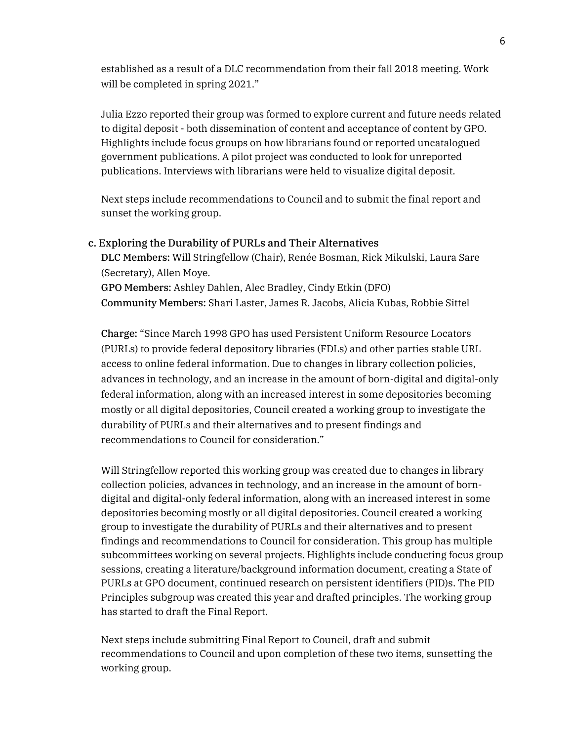established as a result of a DLC recommendation from their fall 2018 meeting. Work will be completed in spring 2021."

Julia Ezzo reported their group was formed to explore current and future needs related to digital deposit - both dissemination of content and acceptance of content by GPO. Highlights include focus groups on how librarians found or reported uncatalogued government publications. A pilot project was conducted to look for unreported publications. Interviews with librarians were held to visualize digital deposit.

Next steps include recommendations to Council and to submit the final report and sunset the working group.

c. Exploring the Durability of PURLs and Their Alternatives DLC Members: Will Stringfellow (Chair), Renée Bosman, Rick Mikulski, Laura Sare (Secretary), Allen Moye. GPO Members: Ashley Dahlen, Alec Bradley, Cindy Etkin (DFO) Community Members: Shari Laster, James R. Jacobs, Alicia Kubas, Robbie Sittel

Charge: "Since March 1998 GPO has used Persistent Uniform Resource Locators (PURLs) to provide federal depository libraries (FDLs) and other parties stable URL access to online federal information. Due to changes in library collection policies, advances in technology, and an increase in the amount of born-digital and digital-only federal information, along with an increased interest in some depositories becoming mostly or all digital depositories, Council created a working group to investigate the durability of PURLs and their alternatives and to present findings and recommendations to Council for consideration."

Will Stringfellow reported this working group was created due to changes in library collection policies, advances in technology, and an increase in the amount of borndigital and digital-only federal information, along with an increased interest in some depositories becoming mostly or all digital depositories. Council created a working group to investigate the durability of PURLs and their alternatives and to present findings and recommendations to Council for consideration. This group has multiple subcommittees working on several projects. Highlights include conducting focus group sessions, creating a literature/background information document, creating a State of PURLs at GPO document, continued research on persistent identifiers (PID)s. The PID Principles subgroup was created this year and drafted principles. The working group has started to draft the Final Report.

Next steps include submitting Final Report to Council, draft and submit recommendations to Council and upon completion of these two items, sunsetting the working group.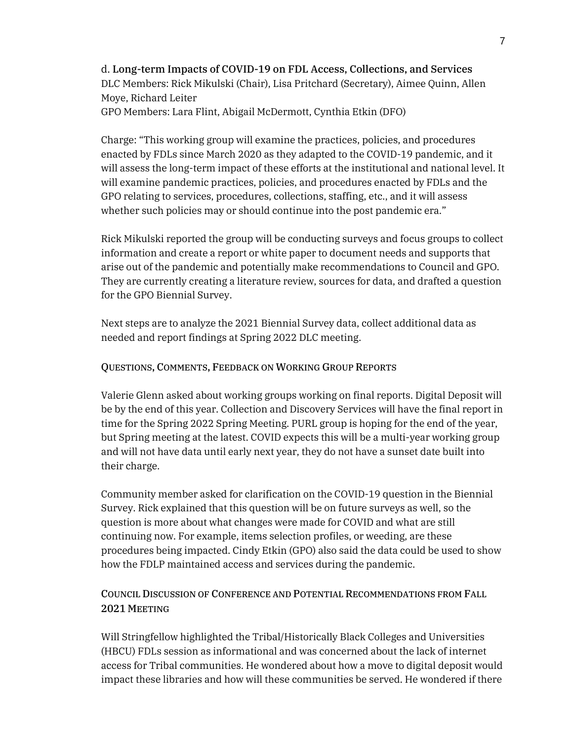d. Long-term Impacts of COVID-19 on FDL Access, Collections, and Services DLC Members: Rick Mikulski (Chair), Lisa Pritchard (Secretary), Aimee Quinn, Allen Moye, Richard Leiter

GPO Members: Lara Flint, Abigail McDermott, Cynthia Etkin (DFO)

Charge: "This working group will examine the practices, policies, and procedures enacted by FDLs since March 2020 as they adapted to the COVID-19 pandemic, and it will assess the long-term impact of these efforts at the institutional and national level. It will examine pandemic practices, policies, and procedures enacted by FDLs and the GPO relating to services, procedures, collections, staffing, etc., and it will assess whether such policies may or should continue into the post pandemic era."

Rick Mikulski reported the group will be conducting surveys and focus groups to collect information and create a report or white paper to document needs and supports that arise out of the pandemic and potentially make recommendations to Council and GPO. They are currently creating a literature review, sources for data, and drafted a question for the GPO Biennial Survey.

Next steps are to analyze the 2021 Biennial Survey data, collect additional data as needed and report findings at Spring 2022 DLC meeting.

#### QUESTIONS, COMMENTS, FEEDBACK ON WORKING GROUP REPORTS

Valerie Glenn asked about working groups working on final reports. Digital Deposit will be by the end of this year. Collection and Discovery Services will have the final report in time for the Spring 2022 Spring Meeting. PURL group is hoping for the end of the year, but Spring meeting at the latest. COVID expects this will be a multi-year working group and will not have data until early next year, they do not have a sunset date built into their charge.

Community member asked for clarification on the COVID-19 question in the Biennial Survey. Rick explained that this question will be on future surveys as well, so the question is more about what changes were made for COVID and what are still continuing now. For example, items selection profiles, or weeding, are these procedures being impacted. Cindy Etkin (GPO) also said the data could be used to show how the FDLP maintained access and services during the pandemic.

#### COUNCIL DISCUSSION OF CONFERENCE AND POTENTIAL RECOMMENDATIONS FROM FALL 2021 MEETING

Will Stringfellow highlighted the Tribal/Historically Black Colleges and Universities (HBCU) FDLs session as informational and was concerned about the lack of internet access for Tribal communities. He wondered about how a move to digital deposit would impact these libraries and how will these communities be served. He wondered if there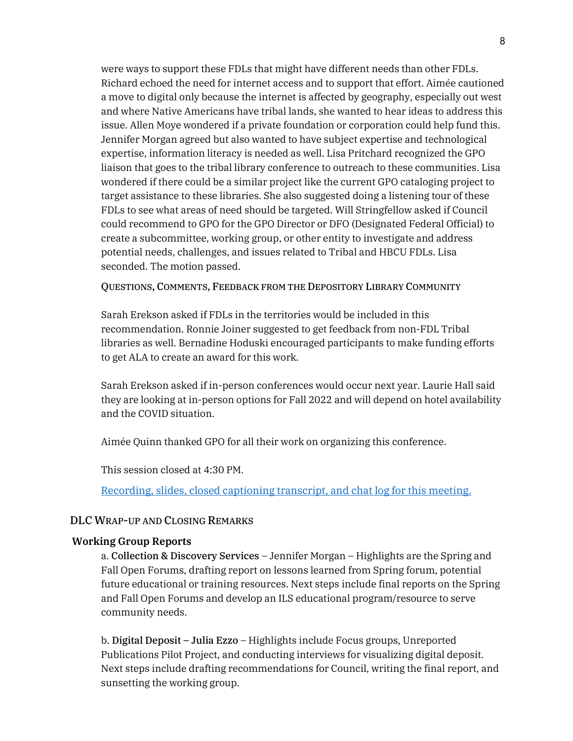were ways to support these FDLs that might have different needs than other FDLs. Richard echoed the need for internet access and to support that effort. Aimée cautioned a move to digital only because the internet is affected by geography, especially out west and where Native Americans have tribal lands, she wanted to hear ideas to address this issue. Allen Moye wondered if a private foundation or corporation could help fund this. Jennifer Morgan agreed but also wanted to have subject expertise and technological expertise, information literacy is needed as well. Lisa Pritchard recognized the GPO liaison that goes to the tribal library conference to outreach to these communities. Lisa wondered if there could be a similar project like the current GPO cataloging project to target assistance to these libraries. She also suggested doing a listening tour of these FDLs to see what areas of need should be targeted. Will Stringfellow asked if Council could recommend to GPO for the GPO Director or DFO (Designated Federal Official) to create a subcommittee, working group, or other entity to investigate and address potential needs, challenges, and issues related to Tribal and HBCU FDLs. Lisa seconded. The motion passed.

QUESTIONS, COMMENTS, FEEDBACK FROM THE DEPOSITORY LIBRARY COMMUNITY

Sarah Erekson asked if FDLs in the territories would be included in this recommendation. Ronnie Joiner suggested to get feedback from non-FDL Tribal libraries as well. Bernadine Hoduski encouraged participants to make funding efforts to get ALA to create an award for this work.

Sarah Erekson asked if in-person conferences would occur next year. Laurie Hall said they are looking at in-person options for Fall 2022 and will depend on hotel availability and the COVID situation.

Aimée Quinn thanked GPO for all their work on organizing this conference.

This session closed at 4:30 PM.

[Recording, slides, closed captioning transcript, and chat log for this meeting.](https://www.fdlp.gov/training/2021-fdl-conference-dlc-business-meeting) 

#### DLC WRAP-UP AND CLOSING REMARKS

#### **Working Group Reports**

a. Collection & Discovery Services – Jennifer Morgan – Highlights are the Spring and Fall Open Forums, drafting report on lessons learned from Spring forum, potential future educational or training resources. Next steps include final reports on the Spring and Fall Open Forums and develop an ILS educational program/resource to serve community needs.

b. Digital Deposit – Julia Ezzo – Highlights include Focus groups, Unreported Publications Pilot Project, and conducting interviews for visualizing digital deposit. Next steps include drafting recommendations for Council, writing the final report, and sunsetting the working group.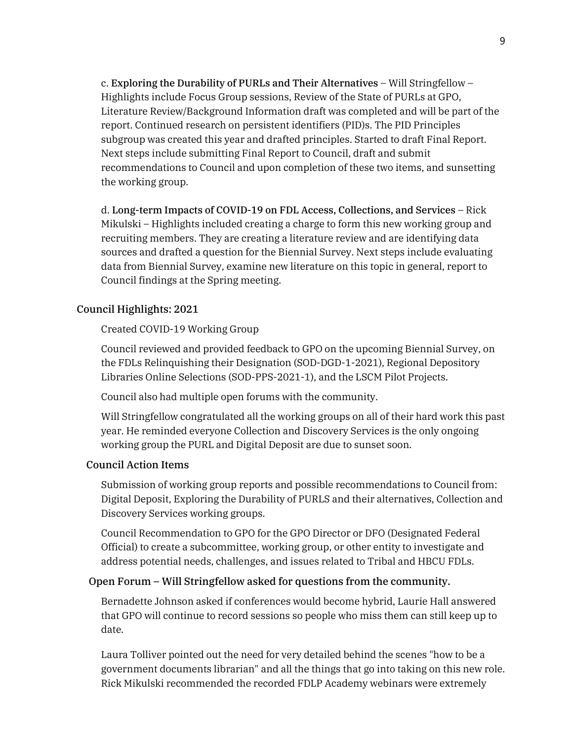c. Exploring the Durability of PURLs and Their Alternatives – Will Stringfellow – Highlights include Focus Group sessions, Review of the State of PURLs at GPO, Literature Review/Background Information draft was completed and will be part of the report. Continued research on persistent identifiers (PID)s. The PID Principles subgroup was created this year and drafted principles. Started to draft Final Report. Next steps include submitting Final Report to Council, draft and submit recommendations to Council and upon completion of these two items, and sunsetting the working group.

d. Long-term Impacts of COVID-19 on FDL Access, Collections, and Services – Rick Mikulski – Highlights included creating a charge to form this new working group and recruiting members. They are creating a literature review and are identifying data sources and drafted a question for the Biennial Survey. Next steps include evaluating data from Biennial Survey, examine new literature on this topic in general, report to Council findings at the Spring meeting.

#### Council Highlights: 2021

Created COVID-19 Working Group

Council reviewed and provided feedback to GPO on the upcoming Biennial Survey, on the FDLs Relinquishing their Designation (SOD-DGD-1-2021), Regional Depository Libraries Online Selections (SOD-PPS-2021-1), and the LSCM Pilot Projects.

Council also had multiple open forums with the community.

Will Stringfellow congratulated all the working groups on all of their hard work this past year. He reminded everyone Collection and Discovery Services is the only ongoing working group the PURL and Digital Deposit are due to sunset soon.

#### Council Action Items

Submission of working group reports and possible recommendations to Council from: Digital Deposit, Exploring the Durability of PURLS and their alternatives, Collection and Discovery Services working groups.

Council Recommendation to GPO for the GPO Director or DFO (Designated Federal Official) to create a subcommittee, working group, or other entity to investigate and address potential needs, challenges, and issues related to Tribal and HBCU FDLs.

#### Open Forum – Will Stringfellow asked for questions from the community.

Bernadette Johnson asked if conferences would become hybrid, Laurie Hall answered that GPO will continue to record sessions so people who miss them can still keep up to date.

Laura Tolliver pointed out the need for very detailed behind the scenes "how to be a government documents librarian" and all the things that go into taking on this new role. Rick Mikulski recommended the recorded FDLP Academy webinars were extremely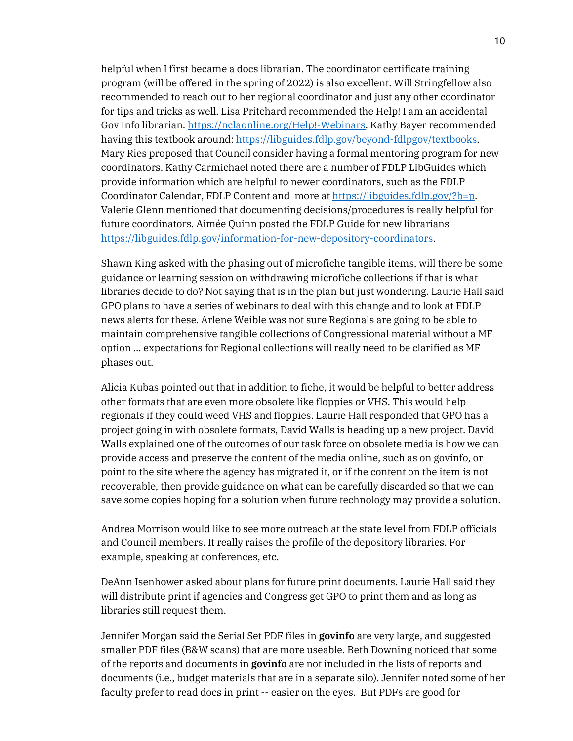helpful when I first became a docs librarian. The coordinator certificate training program (will be offered in the spring of 2022) is also excellent. Will Stringfellow also recommended to reach out to her regional coordinator and just any other coordinator for tips and tricks as well. Lisa Pritchard recommended the Help! I am an accidental Gov Info librarian[. https://nclaonline.org/Help!-Webinars.](https://nclaonline.org/Help!-Webinars) Kathy Bayer recommended having this textbook around: [https://libguides.fdlp.gov/beyond-fdlpgov/textbooks.](https://libguides.fdlp.gov/beyond-fdlpgov/textbooks) Mary Ries proposed that Council consider having a formal mentoring program for new coordinators. Kathy Carmichael noted there are a number of FDLP LibGuides which provide information which are helpful to newer coordinators, such as the FDLP Coordinator Calendar, FDLP Content and more at [https://libguides.fdlp.gov/?b=p.](https://libguides.fdlp.gov/?b=p) Valerie Glenn mentioned that documenting decisions/procedures is really helpful for future coordinators. Aimée Quinn posted the FDLP Guide for new librarians [https://libguides.fdlp.gov/information-for-new-depository-coordinators.](https://libguides.fdlp.gov/information-for-new-depository-coordinators)

Shawn King asked with the phasing out of microfiche tangible items, will there be some guidance or learning session on withdrawing microfiche collections if that is what libraries decide to do? Not saying that is in the plan but just wondering. Laurie Hall said GPO plans to have a series of webinars to deal with this change and to look at FDLP news alerts for these. Arlene Weible was not sure Regionals are going to be able to maintain comprehensive tangible collections of Congressional material without a MF option ... expectations for Regional collections will really need to be clarified as MF phases out.

Alicia Kubas pointed out that in addition to fiche, it would be helpful to better address other formats that are even more obsolete like floppies or VHS. This would help regionals if they could weed VHS and floppies. Laurie Hall responded that GPO has a project going in with obsolete formats, David Walls is heading up a new project. David Walls explained one of the outcomes of our task force on obsolete media is how we can provide access and preserve the content of the media online, such as on govinfo, or point to the site where the agency has migrated it, or if the content on the item is not recoverable, then provide guidance on what can be carefully discarded so that we can save some copies hoping for a solution when future technology may provide a solution.

Andrea Morrison would like to see more outreach at the state level from FDLP officials and Council members. It really raises the profile of the depository libraries. For example, speaking at conferences, etc.

DeAnn Isenhower asked about plans for future print documents. Laurie Hall said they will distribute print if agencies and Congress get GPO to print them and as long as libraries still request them.

Jennifer Morgan said the Serial Set PDF files in **govinfo** are very large, and suggested smaller PDF files (B&W scans) that are more useable. Beth Downing noticed that some of the reports and documents in **govinfo** are not included in the lists of reports and documents (i.e., budget materials that are in a separate silo). Jennifer noted some of her faculty prefer to read docs in print -- easier on the eyes. But PDFs are good for